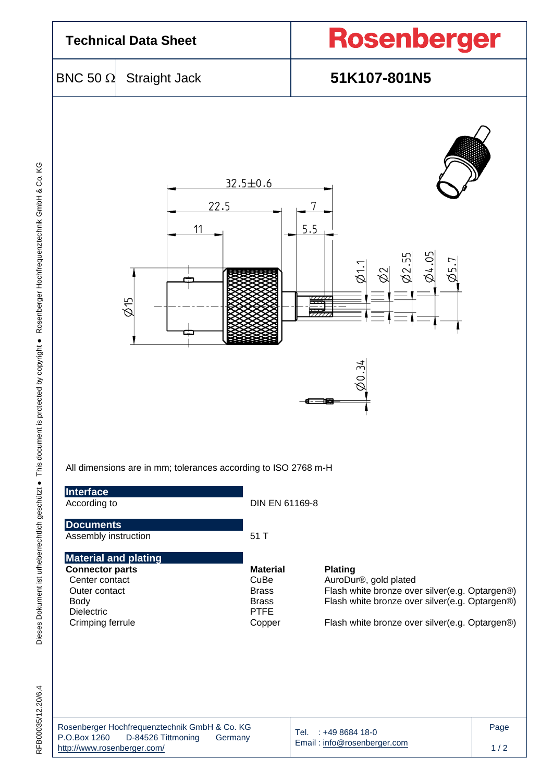

|                             | Rosenberger Hochfrequenztechnik GmbH & Co. KG |         |  |  |  |  |  |  |
|-----------------------------|-----------------------------------------------|---------|--|--|--|--|--|--|
| P.O.Box 1260                | D-84526 Tittmoning                            | Germany |  |  |  |  |  |  |
| http://www.rosenberger.com/ |                                               |         |  |  |  |  |  |  |

Email [: info@rosenberger.com](mailto:info@rosenberger.com)